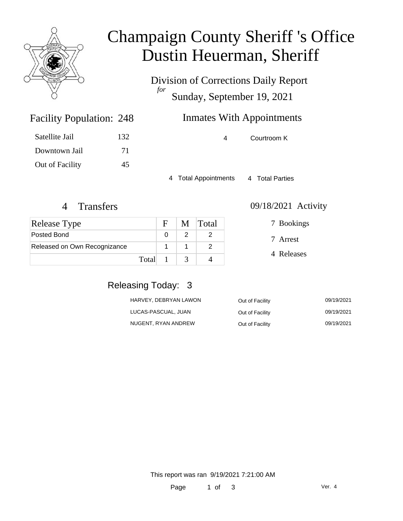

### Champaign County Sheriff 's Office Dustin Heuerman, Sheriff

Division of Corrections Daily Report *for* Sunday, September 19, 2021

### Inmates With Appointments

| 4 | Courtroom K |  |
|---|-------------|--|
|   |             |  |

4 Total Appointments 4 Total Parties

Facility Population: 248

Satellite Jail 132

Downtown Jail 71

Out of Facility 45

| <b>Release Type</b>          |       | F            | M Total |
|------------------------------|-------|--------------|---------|
| Posted Bond                  |       |              |         |
| Released on Own Recognizance |       |              |         |
|                              | Total | $\mathbf{1}$ |         |

#### 4 Transfers 09/18/2021 Activity

7 Arrest 7 Bookings

4 Releases

#### Releasing Today: 3

| HARVEY, DEBRYAN LAWON | Out of Facility | 09/19/2021 |
|-----------------------|-----------------|------------|
| LUCAS-PASCUAL, JUAN   | Out of Facility | 09/19/2021 |
| NUGENT, RYAN ANDREW   | Out of Facility | 09/19/2021 |

This report was ran 9/19/2021 7:21:00 AM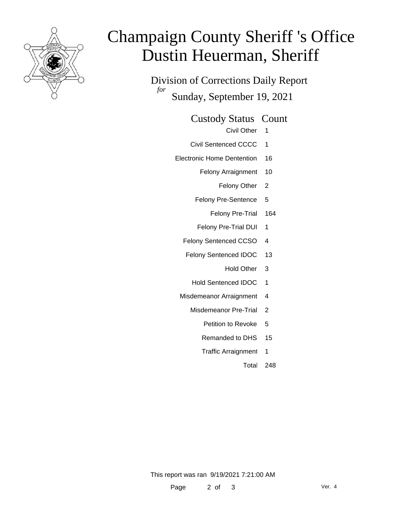

# Champaign County Sheriff 's Office Dustin Heuerman, Sheriff

Division of Corrections Daily Report *for* Sunday, September 19, 2021

Custody Status Count

- Civil Other 1
- Civil Sentenced CCCC 1
- Electronic Home Dentention 16
	- Felony Arraignment 10
		- Felony Other 2
	- Felony Pre-Sentence 5
		- Felony Pre-Trial 164
	- Felony Pre-Trial DUI 1
	- Felony Sentenced CCSO 4
	- Felony Sentenced IDOC 13
		- Hold Other 3
		- Hold Sentenced IDOC 1
	- Misdemeanor Arraignment 4
		- Misdemeanor Pre-Trial 2
			- Petition to Revoke 5
			- Remanded to DHS 15
			- Traffic Arraignment 1
				- Total 248